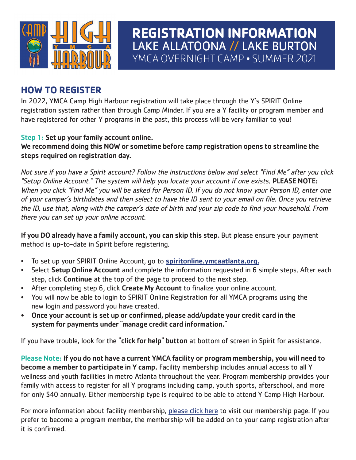

# **REGISTRATION INFORMATION** LAKE ALLATOONA // LAKE BURTON YMCA OVERNIGHT CAMP • SUMMER 2021

### **HOW TO REGISTER**

In 2022, YMCA Camp High Harbour registration will take place through the Y's SPIRIT Online registration system rather than through Camp Minder. If you are a Y facility or program member and have registered for other Y programs in the past, this process will be very familiar to you!

#### Step 1: Set up your family account online.

We recommend doing this NOW or sometime before camp registration opens to streamline the steps required on registration day.

Not sure if you have a Spirit account? Follow the instructions below and select "Find Me" after you click "Setup Online Account." The system will help you locate your account if one exists. PLEASE NOTE: When you click "Find Me" you will be asked for Person ID. If you do not know your Person ID, enter one of your camper's birthdates and then select to have the ID sent to your email on file. Once you retrieve the ID, use that, along with the camper's date of birth and your zip code to find your household. From there you can set up your online account.

If you DO already have a family account, you can skip this step. But please ensure your payment method is up-to-date in Spirit before registering.

- To set up your SPIRIT Online Account, go to **spiritonline.ymcaatlanta.org.**
- Select Setup Online Account and complete the information requested in 6 simple steps. After each step, click Continue at the top of the page to proceed to the next step.
- After completing step 6, click Create My Account to finalize your online account.
- You will now be able to login to SPIRIT Online Registration for all YMCA programs using the new login and password you have created.
- Once your account is set up or confirmed, please add/update your credit card in the system for payments under "manage credit card information."

If you have trouble, look for the "click for help" button at bottom of screen in Spirit for assistance.

Please Note: If you do not have a current YMCA facility or program membership, you will need to become a member to participate in Y camp. Facility membership includes annual access to all Y wellness and youth facilities in metro Atlanta throughout the year. Program membership provides your family with access to register for all Y programs including camp, youth sports, afterschool, and more for only \$40 annually. Either membership type is required to be able to attend Y Camp High Harbour.

For more information about facility membership, please click here to visit our membership page. If you prefer to become a program member, the membership will be added on to your camp registration after it is confirmed.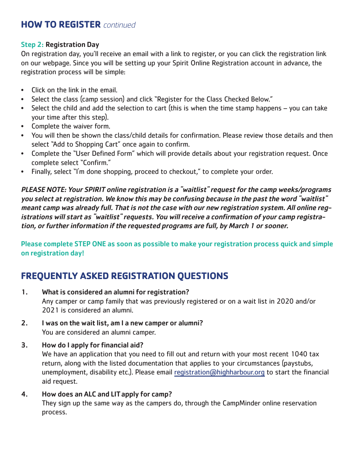### **HOW TO REGISTER** continued

#### Step 2: Registration Day

On registration day, you'll receive an email with a link to register, or you can click the registration link on our webpage. Since you will be setting up your Spirit Online Registration account in advance, the registration process will be simple:

- Click on the link in the email.
- Select the class (camp session) and click "Register for the Class Checked Below."
- Select the child and add the selection to cart (this is when the time stamp happens you can take your time after this step).
- Complete the waiver form.
- You will then be shown the class/child details for confirmation. Please review those details and then select "Add to Shopping Cart" once again to confirm.
- Complete the "User Defined Form" which will provide details about your registration request. Once complete select "Confirm."
- Finally, select "I'm done shopping, proceed to checkout," to complete your order.

PLEASE NOTE: Your SPIRIT online registration is a "waitlist" request for the camp weeks/programs you select at registration. We know this may be confusing because in the past the word "waitlist" meant camp was already full. That is not the case with our new registration system. All online registrations will start as "waitlist" requests. You will receive a confirmation of your camp registration, or further information if the requested programs are full, by March 1 or sooner.

Please complete STEP ONE as soon as possible to make your registration process quick and simple on registration day!

## **FREQUENTLY ASKED REGISTRATION QUESTIONS**

- 1. What is considered an alumni for registration? Any camper or camp family that was previously registered or on a wait list in 2020 and/or 2021 is considered an alumni.
- 2. I was on the wait list, am I a new camper or alumni? You are considered an alumni camper.
- 3. How do I apply for financial aid?

We have an application that you need to fill out and return with your most recent 1040 tax return, along with the listed documentation that applies to your circumstances (paystubs, unemployment, disability etc.). Please email registration@highharbour.org to start the financial aid request.

4. How does an ALC and LITapply for camp?

They sign up the same way as the campers do, through the CampMinder online reservation process.